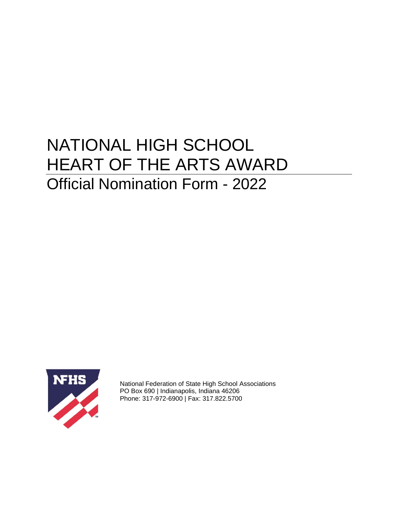# NATIONAL HIGH SCHOOL HEART OF THE ARTS AWARD Official Nomination Form - 2022



National Federation of State High School Associations PO Box 690 | Indianapolis, Indiana 46206 Phone: 317-972-6900 | Fax: 317.822.5700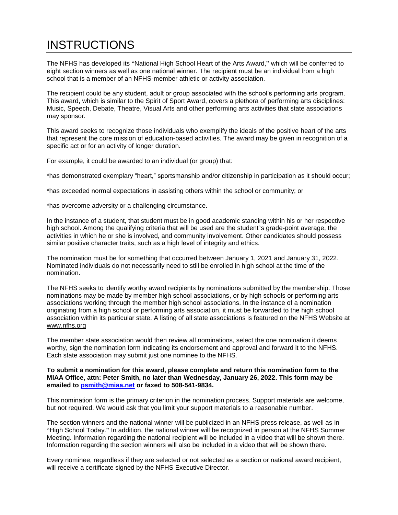# **INSTRUCTIONS**

The NFHS has developed its "National High School Heart of the Arts Award," which will be conferred to eight section winners as well as one national winner. The recipient must be an individual from a high school that is a member of an NFHS-member athletic or activity association.

The recipient could be any student, adult or group associated with the school's performing arts program. This award, which is similar to the Spirit of Sport Award, covers a plethora of performing arts disciplines: Music, Speech, Debate, Theatre, Visual Arts and other performing arts activities that state associations may sponsor.

This award seeks to recognize those individuals who exemplify the ideals of the positive heart of the arts that represent the core mission of education-based activities. The award may be given in recognition of a specific act or for an activity of longer duration.

For example, it could be awarded to an individual (or group) that:

\*has demonstrated exemplary "heart," sportsmanship and/or citizenship in participation as it should occur;

\*has exceeded normal expectations in assisting others within the school or community; or

\*has overcome adversity or a challenging circumstance.

In the instance of a student, that student must be in good academic standing within his or her respective high school. Among the qualifying criteria that will be used are the student's grade-point average, the activities in which he or she is involved, and community involvement. Other candidates should possess similar positive character traits, such as a high level of integrity and ethics.

The nomination must be for something that occurred between January 1, 2021 and January 31, 2022. Nominated individuals do not necessarily need to still be enrolled in high school at the time of the nomination.

The NFHS seeks to identify worthy award recipients by nominations submitted by the membership. Those nominations may be made by member high school associations, or by high schools or performing arts associations working through the member high school associations. In the instance of a nomination originating from a high school or performing arts association, it must be forwarded to the high school association within its particular state. A listing of all state associations is featured on the NFHS Website at [www.nfhs.org](http://www.nfhs.org/)

The member state association would then review all nominations, select the one nomination it deems worthy, sign the nomination form indicating its endorsement and approval and forward it to the NFHS. Each state association may submit just one nominee to the NFHS.

#### **To submit a nomination for this award, please complete and return this nomination form to the MIAA Office, attn: Peter Smith, no later than Wednesday, January 26, 2022. This form may be emailed to [psmith@miaa.net](mailto:psmith@miaa.net) or faxed to 508-541-9834.**

This nomination form is the primary criterion in the nomination process. Support materials are welcome, but not required. We would ask that you limit your support materials to a reasonable number.

The section winners and the national winner will be publicized in an NFHS press release, as well as in "High School Today." In addition, the national winner will be recognized in person at the NFHS Summer Meeting. Information regarding the national recipient will be included in a video that will be shown there. Information regarding the section winners will also be included in a video that will be shown there.

Every nominee, regardless if they are selected or not selected as a section or national award recipient, will receive a certificate signed by the NFHS Executive Director.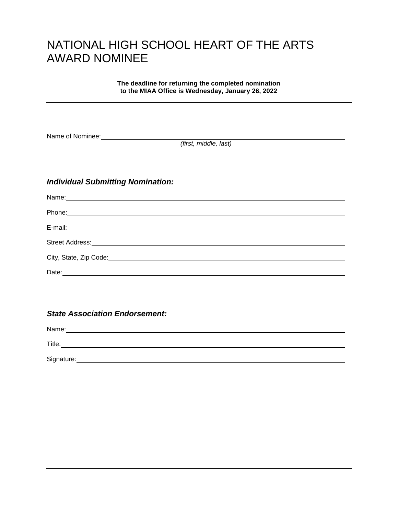### NATIONAL HIGH SCHOOL HEART OF THE ARTS AWARD NOMINEE

**The deadline for returning the completed nomination to the MIAA Office is Wednesday, January 26, 2022**

Name of Nominee:

*(first, middle, last)*

### *Individual Submitting Nomination:*

| Date: |  |
|-------|--|

*State Association Endorsement:*

Name: Name: Name: Name: Name: Name: Name: Name: Name: Name: Name: Name: Name: Name: Name: Name: Name: Name: Name: Name: Name: Name: Name: Name: Name: Name: Name: Name: Name: Name: Name: Name: Name: Name: Name: Name: Name: Title: Signature: **Example 2018** Signature: **Signature: Example 2018** Signature: **Example 2018** Signature: **Example 2018** Signature: **Example 2018** Signature: **Example 2018** Signature: **Example 2018** Signature: **Example 2018** S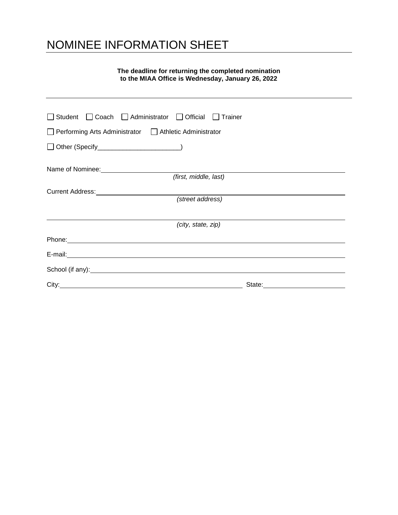# NOMINEE INFORMATION SHEET

### **The deadline for returning the completed nomination to the MIAA Office is Wednesday, January 26, 2022**

| □ Student □ Coach □ Administrator □ Official □ Trainer                                                                                                                                                                               |
|--------------------------------------------------------------------------------------------------------------------------------------------------------------------------------------------------------------------------------------|
| Performing Arts Administrator   Athletic Administrator                                                                                                                                                                               |
| □ Other (Specify__________________________)                                                                                                                                                                                          |
|                                                                                                                                                                                                                                      |
| (first, middle, last)                                                                                                                                                                                                                |
|                                                                                                                                                                                                                                      |
| (street address)                                                                                                                                                                                                                     |
|                                                                                                                                                                                                                                      |
| (city, state, zip)                                                                                                                                                                                                                   |
| Phone: <u>contract the contract of the contract of the contract of the contract of the contract of the contract of the contract of the contract of the contract of the contract of the contract of the contract of the contract </u> |
|                                                                                                                                                                                                                                      |
| School (if any): <u>contained a set of any</u> set of any set of any set of any set of any set of any set of any set of any set of any set of any set of any set of any set of any set of any set of any set of any set of any set   |
| State: State:                                                                                                                                                                                                                        |